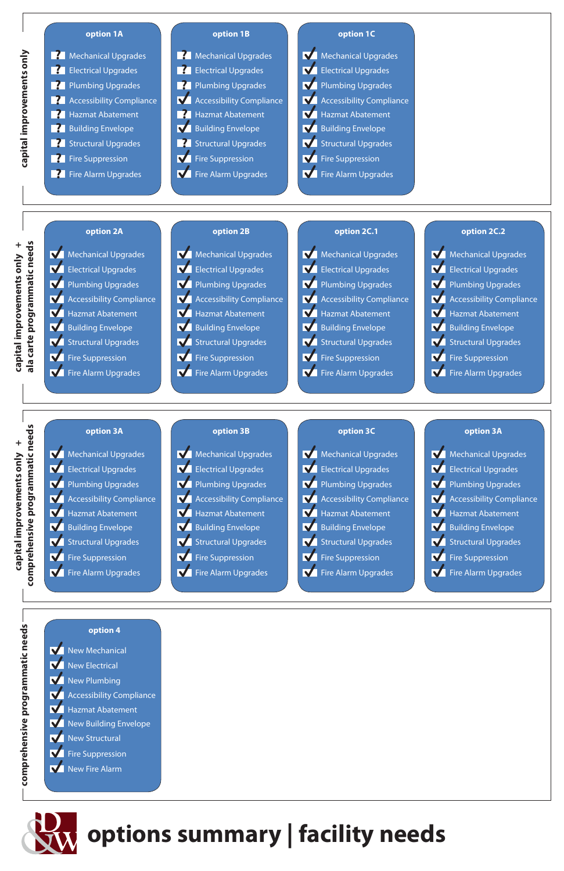New Mechanical New Electrical **New Plumbing Accessibility Compliance N** Hazmat Abatement New Building Envelope New Structural **K** Fire Suppression New Fire Alarm

# **option 2A option 2B option 2C.1 option 2C.2**

Mechanical Upgrades **N** Electrical Upgrades Plumbing Upgrades **Manuface** Accessibility Compliance **N** Hazmat Abatement **N** Building Envelope **N** Structural Upgrades **N** Fire Suppression **The Alarm Upgrades** 



ala carte programmatic needs **capital improvements only + ala carte programmatic needs** capital improvements only +

| Mechanical Upgrades        |
|----------------------------|
| <b>Electrical Upgrades</b> |
| Plumbing Upgrades          |
| Accessibility Compliance   |
| Hazmat Abatement           |
| <b>Building Envelope</b>   |
| <b>Structural Upgrades</b> |
| Fire Suppression           |
| <b>Fire Alarm Upgrades</b> |
|                            |









comprehensive programmatic needs **capital improvements only + comprehensive programmatic needs** capital improvements only +

Mechanical Upgrades **N** Electrical Upgrades Plumbing Upgrades **M** Accessibility Compliance **N** Hazmat Abatement **V** Building Envelope **N** Structural Upgrades **N** Fire Suppression **Fire Alarm Upgrades** 







eds